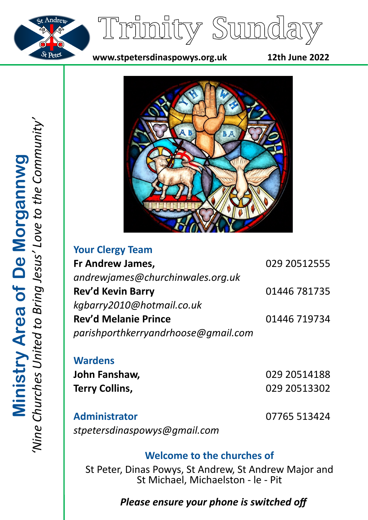



**www.stpetersdinaspowys.org.uk 12th June 2022**



| <b>Your Clergy Team</b>             |              |
|-------------------------------------|--------------|
| Fr Andrew James,                    | 029 20512555 |
| andrewjames@churchinwales.org.uk    |              |
| Rev'd Kevin Barry                   | 01446 781735 |
| kgbarry2010@hotmail.co.uk           |              |
| <b>Rev'd Melanie Prince</b>         | 01446 719734 |
| parishporthkerryandrhoose@gmail.com |              |
|                                     |              |

**Wardens John Fanshaw,** 029 20514188 **Terry Collins,** 029 20513302

**Administrator** 07765 513424 *stpetersdinaspowys@gmail.com*

# **Welcome to the churches of**

St Peter, Dinas Powys, St Andrew, St Andrew Major and St Michael, Michaelston - le - Pit

# *Please ensure your phone is switched off*

*'Nine Churches United to Bring Jesus' Love to the Community'* **Ministry Area of De Morgannwg**<br>'Nine Churches United to Bring Jesus' Love to the Community **Ministry Area of De Morgannwg**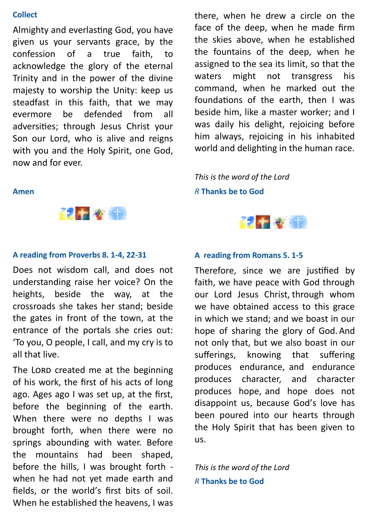#### **Collect**

Almighty and everlasting God, you have given us your servants grace, by the confession of a true faith, to acknowledge the glory of the eternal Trinity and in the power of the divine majesty to worship the Unity: keep us steadfast in this faith, that we may evermore be defended from all adversities; through Jesus Christ your Son our Lord, who is alive and reigns with you and the Holy Spirit, one God, now and for ever.

there, when he drew a circle on the face of the deep, when he made firm the skies above, when he established the fountains of the deep, when he assigned to the sea its limit, so that the waters might not transgress his command, when he marked out the foundations of the earth, then I was beside him, like a master worker; and I was daily his delight, rejoicing before him always, rejoicing in his inhabited world and delighting in the human race.

*This is the word of the Lord*

### *R* **Thanks be to God**



## **Amen**



#### **A reading from Proverbs 8. 1-4, 22-31**

Does not wisdom call, and does not understanding raise her voice? On the heights, beside the way, at the crossroads she takes her stand; beside the gates in front of the town, at the entrance of the portals she cries out: 'To you, O people, I call, and my cry is to all that live.

The LORD created me at the beginning of his work, the first of his acts of long ago. Ages ago I was set up, at the first, before the beginning of the earth. When there were no depths I was brought forth, when there were no springs abounding with water. Before the mountains had been shaped, before the hills, I was brought forth when he had not yet made earth and fields, or the world's first bits of soil. When he established the heavens, I was

### **A reading from Romans 5. 1-5**

Therefore, since we are justified by faith, we have peace with God through our Lord Jesus Christ, through whom we have obtained access to this grace in which we stand; and we boast in our hope of sharing the glory of God. And not only that, but we also boast in our sufferings, knowing that suffering produces endurance, and endurance produces character, and character produces hope, and hope does not disappoint us, because God's love has been poured into our hearts through the Holy Spirit that has been given to us.

*This is the word of the Lord R* **Thanks be to God**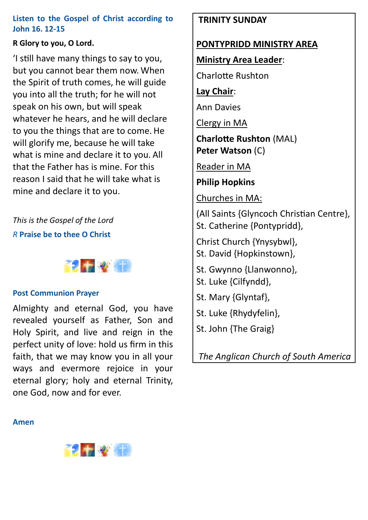## **Listen to the Gospel of Christ according to John 16. 12-15**

## **R Glory to you, O Lord.**

'I still have many things to say to you, but you cannot bear them now. When the Spirit of truth comes, he will guide you into all the truth; for he will not speak on his own, but will speak whatever he hears, and he will declare to you the things that are to come. He will glorify me, because he will take what is mine and declare it to you. All that the Father has is mine. For this reason I said that he will take what is mine and declare it to you.

*This is the Gospel of the Lord R* **Praise be to thee O Christ**



## **Post Communion Prayer**

Almighty and eternal God, you have revealed yourself as Father, Son and Holy Spirit, and live and reign in the perfect unity of love: hold us firm in this faith, that we may know you in all your ways and evermore rejoice in your eternal glory; holy and eternal Trinity, one God, now and for ever.

## **TRINITY SUNDAY**

## **PONTYPRIDD MINISTRY AREA**

**Ministry Area Leader**:

Charlotte Rushton

**Lay Chair**:

Ann Davies

Clergy in MA

**Charlotte Rushton** (MAL) **Peter Watson** (C)

Reader in MA

**Philip Hopkins**

Churches in MA:

(All Saints {Glyncoch Christian Centre}, St. Catherine {Pontypridd},

Christ Church {Ynysybwl}, St. David {Hopkinstown},

- St. Gwynno {Llanwonno},
- St. Luke {Cilfyndd},
- St. Mary {Glyntaf},
- St. Luke {Rhydyfelin},
- St. John {The Graig}

*The Anglican Church of South America*

#### **Amen**